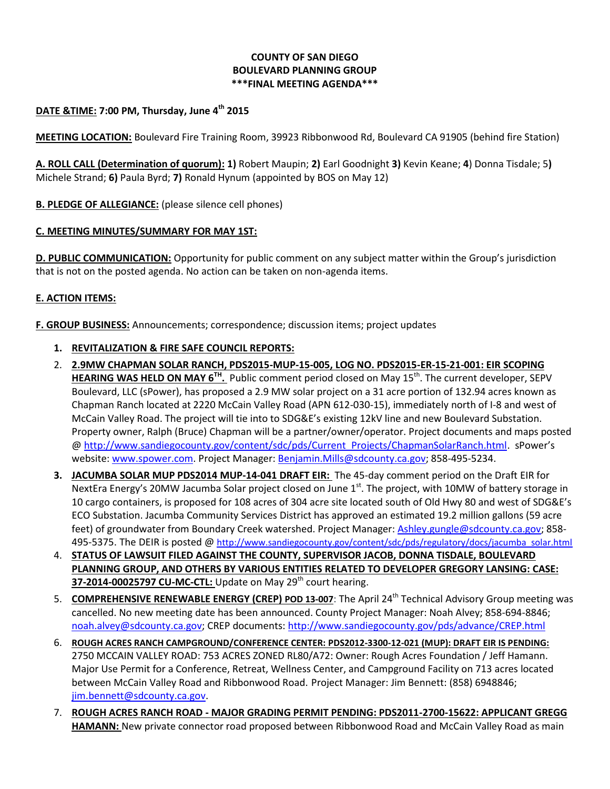## **COUNTY OF SAN DIEGO BOULEVARD PLANNING GROUP \*\*\*FINAL MEETING AGENDA\*\*\***

# **DATE &TIME: 7:00 PM, Thursday, June 4th 2015**

**MEETING LOCATION:** Boulevard Fire Training Room, 39923 Ribbonwood Rd, Boulevard CA 91905 (behind fire Station)

**A. ROLL CALL (Determination of quorum): 1)** Robert Maupin; **2)** Earl Goodnight **3)** Kevin Keane; **4**) Donna Tisdale; 5**)**  Michele Strand; **6)** Paula Byrd; **7)** Ronald Hynum (appointed by BOS on May 12)

**B. PLEDGE OF ALLEGIANCE:** (please silence cell phones)

#### **C. MEETING MINUTES/SUMMARY FOR MAY 1ST:**

**D. PUBLIC COMMUNICATION:** Opportunity for public comment on any subject matter within the Group's jurisdiction that is not on the posted agenda. No action can be taken on non-agenda items.

## **E. ACTION ITEMS:**

**F. GROUP BUSINESS:** Announcements; correspondence; discussion items; project updates

#### **1. REVITALIZATION & FIRE SAFE COUNCIL REPORTS:**

- 2. **2.9MW CHAPMAN SOLAR RANCH, PDS2015-MUP-15-005, LOG NO. PDS2015-ER-15-21-001: EIR SCOPING HEARING WAS HELD ON MAY 6TH .** Public comment period closed on May 15th . The current developer, SEPV Boulevard, LLC (sPower), has proposed a 2.9 MW solar project on a 31 acre portion of 132.94 acres known as Chapman Ranch located at 2220 McCain Valley Road (APN 612-030-15), immediately north of I-8 and west of McCain Valley Road. The project will tie into to SDG&E's existing 12kV line and new Boulevard Substation. Property owner, Ralph (Bruce) Chapman will be a partner/owner/operator. Project documents and maps posted @ [http://www.sandiegocounty.gov/content/sdc/pds/Current\\_Projects/ChapmanSolarRanch.html.](http://www.sandiegocounty.gov/content/sdc/pds/Current_Projects/ChapmanSolarRanch.html) sPower's website[: www.spower.com.](http://www.spower.com/) Project Manager: [Benjamin.Mills@sdcounty.ca.gov;](mailto:Benjamin.Mills@sdcounty.ca.gov) [858-495-5234.](tel:%28858%29%20495-5234)
- **3. JACUMBA SOLAR MUP PDS2014 MUP-14-041 DRAFT EIR:** The 45-day comment period on the Draft EIR for NextEra Energy's 20MW Jacumba Solar project closed on June 1<sup>st</sup>. The project, with 10MW of battery storage in 10 cargo containers, is proposed for 108 acres of 304 acre site located south of Old Hwy 80 and west of SDG&E's ECO Substation. Jacumba Community Services District has approved an estimated 19.2 million gallons (59 acre feet) of groundwater from Boundary Creek watershed. Project Manager: [Ashley.gungle@sdcounty.ca.gov;](mailto:Ashley.gungle@sdcounty.ca.gov) [858-](tel:858.495.5375) [495-5375.](tel:858.495.5375) The DEIR is posted @ [http://www.sandiegocounty.gov/content/sdc/pds/regulatory/docs/jacumba\\_solar.html](http://www.sandiegocounty.gov/content/sdc/pds/regulatory/docs/jacumba_solar.html)
- 4. **STATUS OF LAWSUIT FILED AGAINST THE COUNTY, SUPERVISOR JACOB, DONNA TISDALE, BOULEVARD PLANNING GROUP, AND OTHERS BY VARIOUS ENTITIES RELATED TO DEVELOPER GREGORY LANSING: CASE: 37-2014-00025797 CU-MC-CTL:** Update on May 29<sup>th</sup> court hearing.
- 5. **COMPREHENSIVE RENEWABLE ENERGY (CREP) POD 13-007**: The April 24th Technical Advisory Group meeting was cancelled. No new meeting date has been announced. County Project Manager: Noah Alvey; 858-694-8846; [noah.alvey@sdcounty.ca.gov;](mailto:noah.alvey@sdcounty.ca.gov) CREP documents: <http://www.sandiegocounty.gov/pds/advance/CREP.html>
- 6. **ROUGH ACRES RANCH CAMPGROUND/CONFERENCE CENTER: PDS2012-3300-12-021 (MUP): DRAFT EIR IS PENDING:**  2750 MCCAIN VALLEY ROAD: 753 ACRES ZONED RL80/A72: Owner: Rough Acres Foundation / Jeff Hamann. Major Use Permit for a Conference, Retreat, Wellness Center, and Campground Facility on 713 acres located between McCain Valley Road and Ribbonwood Road. Project Manager: Jim Bennett: (858) 6948846; [jim.bennett@sdcounty.ca.gov.](mailto:jim.bennett@sdcounty.ca.gov)
- 7. **ROUGH ACRES RANCH ROAD - MAJOR GRADING PERMIT PENDING: PDS2011-2700-15622: APPLICANT GREGG HAMANN:** New private connector road proposed between Ribbonwood Road and McCain Valley Road as main